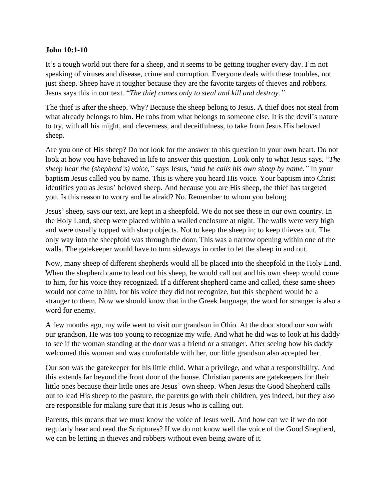## **John 10:1-10**

It's a tough world out there for a sheep, and it seems to be getting tougher every day. I'm not speaking of viruses and disease, crime and corruption. Everyone deals with these troubles, not just sheep. Sheep have it tougher because they are the favorite targets of thieves and robbers. Jesus says this in our text. "*The thief comes only to steal and kill and destroy."*

The thief is after the sheep. Why? Because the sheep belong to Jesus. A thief does not steal from what already belongs to him. He robs from what belongs to someone else. It is the devil's nature to try, with all his might, and cleverness, and deceitfulness, to take from Jesus His beloved sheep.

Are you one of His sheep? Do not look for the answer to this question in your own heart. Do not look at how you have behaved in life to answer this question. Look only to what Jesus says. "*The sheep hear the (shepherd's) voice,"* says Jesus, "*and he calls his own sheep by name."* In your baptism Jesus called you by name. This is where you heard His voice. Your baptism into Christ identifies you as Jesus' beloved sheep. And because you are His sheep, the thief has targeted you. Is this reason to worry and be afraid? No. Remember to whom you belong.

Jesus' sheep, says our text, are kept in a sheepfold. We do not see these in our own country. In the Holy Land, sheep were placed within a walled enclosure at night. The walls were very high and were usually topped with sharp objects. Not to keep the sheep in; to keep thieves out. The only way into the sheepfold was through the door. This was a narrow opening within one of the walls. The gatekeeper would have to turn sideways in order to let the sheep in and out.

Now, many sheep of different shepherds would all be placed into the sheepfold in the Holy Land. When the shepherd came to lead out his sheep, he would call out and his own sheep would come to him, for his voice they recognized. If a different shepherd came and called, these same sheep would not come to him, for his voice they did not recognize, but this shepherd would be a stranger to them. Now we should know that in the Greek language, the word for stranger is also a word for enemy.

A few months ago, my wife went to visit our grandson in Ohio. At the door stood our son with our grandson. He was too young to recognize my wife. And what he did was to look at his daddy to see if the woman standing at the door was a friend or a stranger. After seeing how his daddy welcomed this woman and was comfortable with her, our little grandson also accepted her.

Our son was the gatekeeper for his little child. What a privilege, and what a responsibility. And this extends far beyond the front door of the house. Christian parents are gatekeepers for their little ones because their little ones are Jesus' own sheep. When Jesus the Good Shepherd calls out to lead His sheep to the pasture, the parents go with their children, yes indeed, but they also are responsible for making sure that it is Jesus who is calling out.

Parents, this means that we must know the voice of Jesus well. And how can we if we do not regularly hear and read the Scriptures? If we do not know well the voice of the Good Shepherd, we can be letting in thieves and robbers without even being aware of it.